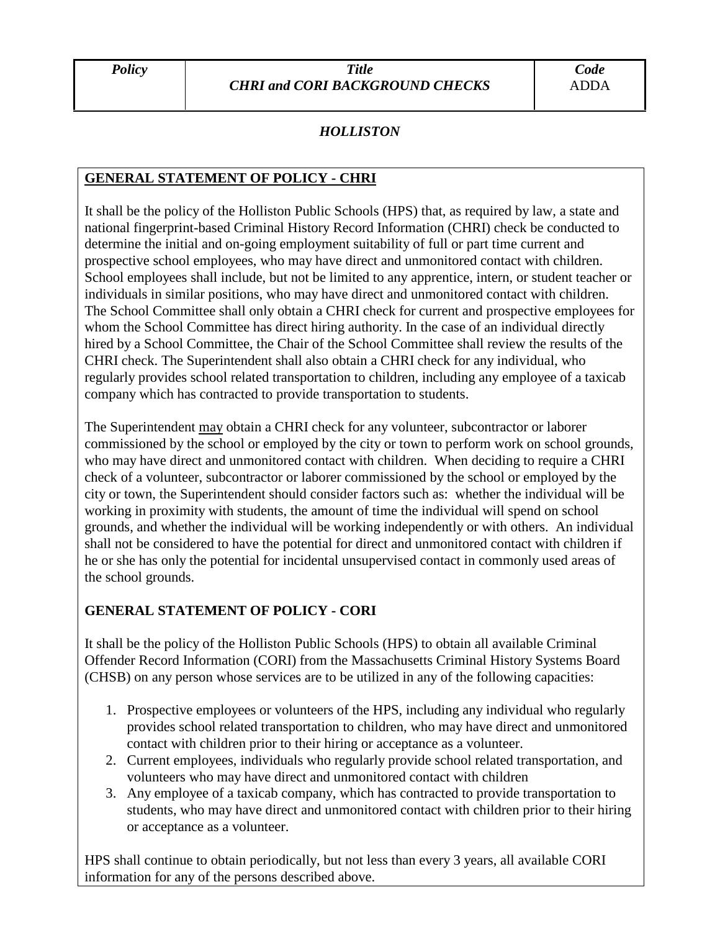# *HOLLISTON*

## **GENERAL STATEMENT OF POLICY - CHRI**

It shall be the policy of the Holliston Public Schools (HPS) that, as required by law, a state and national fingerprint-based Criminal History Record Information (CHRI) check be conducted to determine the initial and on-going employment suitability of full or part time current and prospective school employees, who may have direct and unmonitored contact with children. School employees shall include, but not be limited to any apprentice, intern, or student teacher or individuals in similar positions, who may have direct and unmonitored contact with children. The School Committee shall only obtain a CHRI check for current and prospective employees for whom the School Committee has direct hiring authority. In the case of an individual directly hired by a School Committee, the Chair of the School Committee shall review the results of the CHRI check. The Superintendent shall also obtain a CHRI check for any individual, who regularly provides school related transportation to children, including any employee of a taxicab company which has contracted to provide transportation to students.

The Superintendent may obtain a CHRI check for any volunteer, subcontractor or laborer commissioned by the school or employed by the city or town to perform work on school grounds, who may have direct and unmonitored contact with children. When deciding to require a CHRI check of a volunteer, subcontractor or laborer commissioned by the school or employed by the city or town, the Superintendent should consider factors such as: whether the individual will be working in proximity with students, the amount of time the individual will spend on school grounds, and whether the individual will be working independently or with others. An individual shall not be considered to have the potential for direct and unmonitored contact with children if he or she has only the potential for incidental unsupervised contact in commonly used areas of the school grounds.

### **GENERAL STATEMENT OF POLICY - CORI**

It shall be the policy of the Holliston Public Schools (HPS) to obtain all available Criminal Offender Record Information (CORI) from the Massachusetts Criminal History Systems Board (CHSB) on any person whose services are to be utilized in any of the following capacities:

- 1. Prospective employees or volunteers of the HPS, including any individual who regularly provides school related transportation to children, who may have direct and unmonitored contact with children prior to their hiring or acceptance as a volunteer.
- 2. Current employees, individuals who regularly provide school related transportation, and volunteers who may have direct and unmonitored contact with children
- 3. Any employee of a taxicab company, which has contracted to provide transportation to students, who may have direct and unmonitored contact with children prior to their hiring or acceptance as a volunteer.

HPS shall continue to obtain periodically, but not less than every 3 years, all available CORI information for any of the persons described above.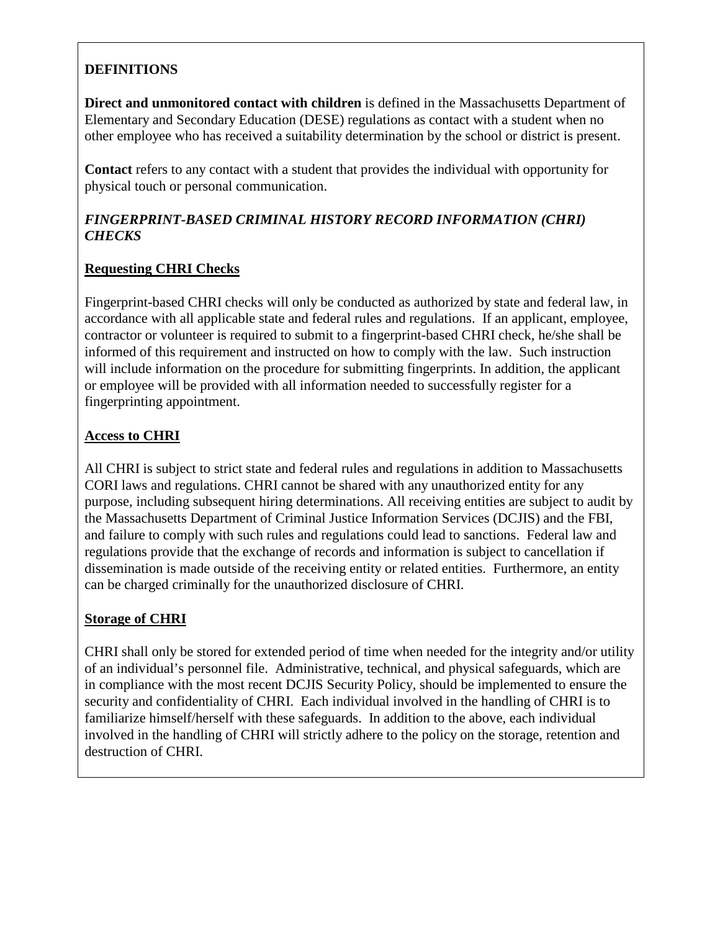# **DEFINITIONS**

**Direct and unmonitored contact with children** is defined in the Massachusetts Department of Elementary and Secondary Education (DESE) regulations as contact with a student when no other employee who has received a suitability determination by the school or district is present.

**Contact** refers to any contact with a student that provides the individual with opportunity for physical touch or personal communication.

### *FINGERPRINT-BASED CRIMINAL HISTORY RECORD INFORMATION (CHRI) CHECKS*

#### **Requesting CHRI Checks**

Fingerprint-based CHRI checks will only be conducted as authorized by state and federal law, in accordance with all applicable state and federal rules and regulations. If an applicant, employee, contractor or volunteer is required to submit to a fingerprint-based CHRI check, he/she shall be informed of this requirement and instructed on how to comply with the law. Such instruction will include information on the procedure for submitting fingerprints. In addition, the applicant or employee will be provided with all information needed to successfully register for a fingerprinting appointment.

#### **Access to CHRI**

All CHRI is subject to strict state and federal rules and regulations in addition to Massachusetts CORI laws and regulations. CHRI cannot be shared with any unauthorized entity for any purpose, including subsequent hiring determinations. All receiving entities are subject to audit by the Massachusetts Department of Criminal Justice Information Services (DCJIS) and the FBI, and failure to comply with such rules and regulations could lead to sanctions. Federal law and regulations provide that the exchange of records and information is subject to cancellation if dissemination is made outside of the receiving entity or related entities. Furthermore, an entity can be charged criminally for the unauthorized disclosure of CHRI.

### **Storage of CHRI**

CHRI shall only be stored for extended period of time when needed for the integrity and/or utility of an individual's personnel file. Administrative, technical, and physical safeguards, which are in compliance with the most recent DCJIS Security Policy, should be implemented to ensure the security and confidentiality of CHRI. Each individual involved in the handling of CHRI is to familiarize himself/herself with these safeguards. In addition to the above, each individual involved in the handling of CHRI will strictly adhere to the policy on the storage, retention and destruction of CHRI.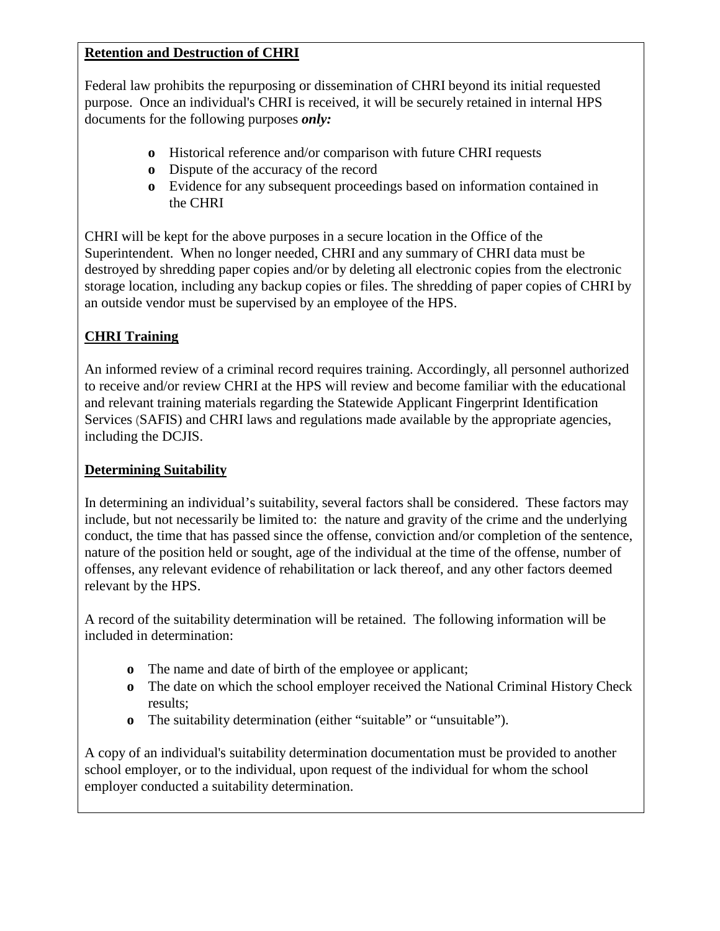#### **Retention and Destruction of CHRI**

Federal law prohibits the repurposing or dissemination of CHRI beyond its initial requested purpose. Once an individual's CHRI is received, it will be securely retained in internal HPS documents for the following purposes *only:*

- **o** Historical reference and/or comparison with future CHRI requests
- **o** Dispute of the accuracy of the record
- **o** Evidence for any subsequent proceedings based on information contained in the CHRI

CHRI will be kept for the above purposes in a secure location in the Office of the Superintendent. When no longer needed, CHRI and any summary of CHRI data must be destroyed by shredding paper copies and/or by deleting all electronic copies from the electronic storage location, including any backup copies or files. The shredding of paper copies of CHRI by an outside vendor must be supervised by an employee of the HPS.

## **CHRI Training**

An informed review of a criminal record requires training. Accordingly, all personnel authorized to receive and/or review CHRI at the HPS will review and become familiar with the educational and relevant training materials regarding the Statewide Applicant Fingerprint Identification Services (SAFIS) and CHRI laws and regulations made available by the appropriate agencies, including the DCJIS.

### **Determining Suitability**

In determining an individual's suitability, several factors shall be considered. These factors may include, but not necessarily be limited to: the nature and gravity of the crime and the underlying conduct, the time that has passed since the offense, conviction and/or completion of the sentence, nature of the position held or sought, age of the individual at the time of the offense, number of offenses, any relevant evidence of rehabilitation or lack thereof, and any other factors deemed relevant by the HPS.

A record of the suitability determination will be retained. The following information will be included in determination:

- **o** The name and date of birth of the employee or applicant;
- **o** The date on which the school employer received the National Criminal History Check results;
- **o** The suitability determination (either "suitable" or "unsuitable").

A copy of an individual's suitability determination documentation must be provided to another school employer, or to the individual, upon request of the individual for whom the school employer conducted a suitability determination.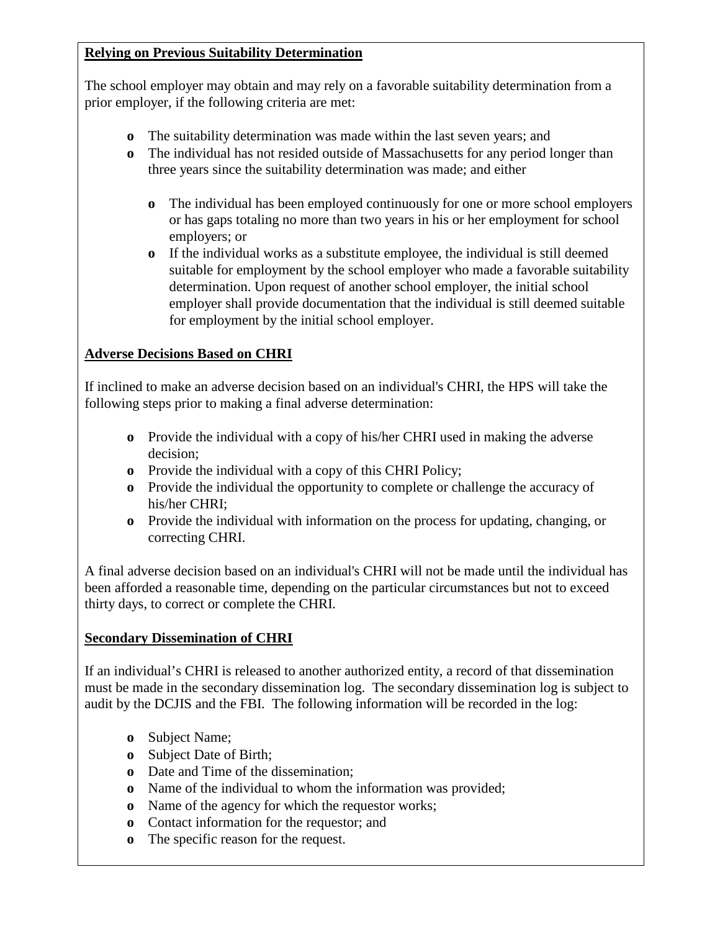### **Relying on Previous Suitability Determination**

The school employer may obtain and may rely on a favorable suitability determination from a prior employer, if the following criteria are met:

- **o** The suitability determination was made within the last seven years; and
- **o** The individual has not resided outside of Massachusetts for any period longer than three years since the suitability determination was made; and either
	- **o** The individual has been employed continuously for one or more school employers or has gaps totaling no more than two years in his or her employment for school employers; or
	- **o** If the individual works as a substitute employee, the individual is still deemed suitable for employment by the school employer who made a favorable suitability determination. Upon request of another school employer, the initial school employer shall provide documentation that the individual is still deemed suitable for employment by the initial school employer.

## **Adverse Decisions Based on CHRI**

If inclined to make an adverse decision based on an individual's CHRI, the HPS will take the following steps prior to making a final adverse determination:

- **o** Provide the individual with a copy of his/her CHRI used in making the adverse decision;
- **o** Provide the individual with a copy of this CHRI Policy;
- **o** Provide the individual the opportunity to complete or challenge the accuracy of his/her CHRI;
- **o** Provide the individual with information on the process for updating, changing, or correcting CHRI.

A final adverse decision based on an individual's CHRI will not be made until the individual has been afforded a reasonable time, depending on the particular circumstances but not to exceed thirty days, to correct or complete the CHRI.

### **Secondary Dissemination of CHRI**

If an individual's CHRI is released to another authorized entity, a record of that dissemination must be made in the secondary dissemination log. The secondary dissemination log is subject to audit by the DCJIS and the FBI. The following information will be recorded in the log:

- **o** Subject Name;
- **o** Subject Date of Birth;
- **o** Date and Time of the dissemination;
- **o** Name of the individual to whom the information was provided;
- **o** Name of the agency for which the requestor works;
- **o** Contact information for the requestor; and
- **o** The specific reason for the request.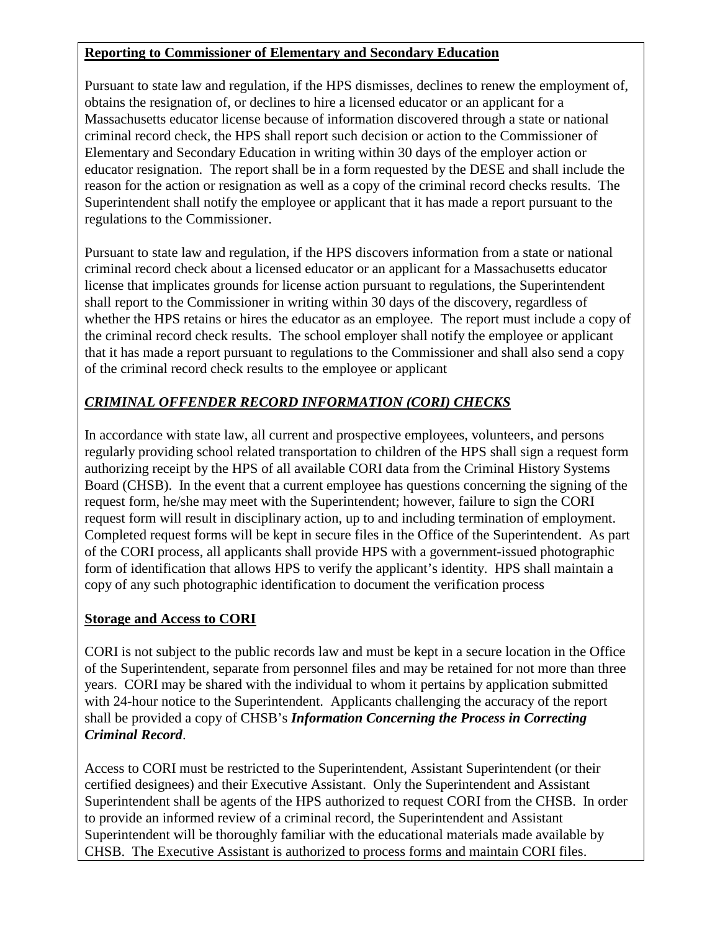#### **Reporting to Commissioner of Elementary and Secondary Education**

Pursuant to state law and regulation, if the HPS dismisses, declines to renew the employment of, obtains the resignation of, or declines to hire a licensed educator or an applicant for a Massachusetts educator license because of information discovered through a state or national criminal record check, the HPS shall report such decision or action to the Commissioner of Elementary and Secondary Education in writing within 30 days of the employer action or educator resignation. The report shall be in a form requested by the DESE and shall include the reason for the action or resignation as well as a copy of the criminal record checks results. The Superintendent shall notify the employee or applicant that it has made a report pursuant to the regulations to the Commissioner.

Pursuant to state law and regulation, if the HPS discovers information from a state or national criminal record check about a licensed educator or an applicant for a Massachusetts educator license that implicates grounds for license action pursuant to regulations, the Superintendent shall report to the Commissioner in writing within 30 days of the discovery, regardless of whether the HPS retains or hires the educator as an employee. The report must include a copy of the criminal record check results. The school employer shall notify the employee or applicant that it has made a report pursuant to regulations to the Commissioner and shall also send a copy of the criminal record check results to the employee or applicant

# *CRIMINAL OFFENDER RECORD INFORMATION (CORI) CHECKS*

In accordance with state law, all current and prospective employees, volunteers, and persons regularly providing school related transportation to children of the HPS shall sign a request form authorizing receipt by the HPS of all available CORI data from the Criminal History Systems Board (CHSB). In the event that a current employee has questions concerning the signing of the request form, he/she may meet with the Superintendent; however, failure to sign the CORI request form will result in disciplinary action, up to and including termination of employment. Completed request forms will be kept in secure files in the Office of the Superintendent. As part of the CORI process, all applicants shall provide HPS with a government-issued photographic form of identification that allows HPS to verify the applicant's identity. HPS shall maintain a copy of any such photographic identification to document the verification process

### **Storage and Access to CORI**

CORI is not subject to the public records law and must be kept in a secure location in the Office of the Superintendent, separate from personnel files and may be retained for not more than three years. CORI may be shared with the individual to whom it pertains by application submitted with 24-hour notice to the Superintendent. Applicants challenging the accuracy of the report shall be provided a copy of CHSB's *Information Concerning the Process in Correcting Criminal Record*.

Access to CORI must be restricted to the Superintendent, Assistant Superintendent (or their certified designees) and their Executive Assistant. Only the Superintendent and Assistant Superintendent shall be agents of the HPS authorized to request CORI from the CHSB. In order to provide an informed review of a criminal record, the Superintendent and Assistant Superintendent will be thoroughly familiar with the educational materials made available by CHSB. The Executive Assistant is authorized to process forms and maintain CORI files.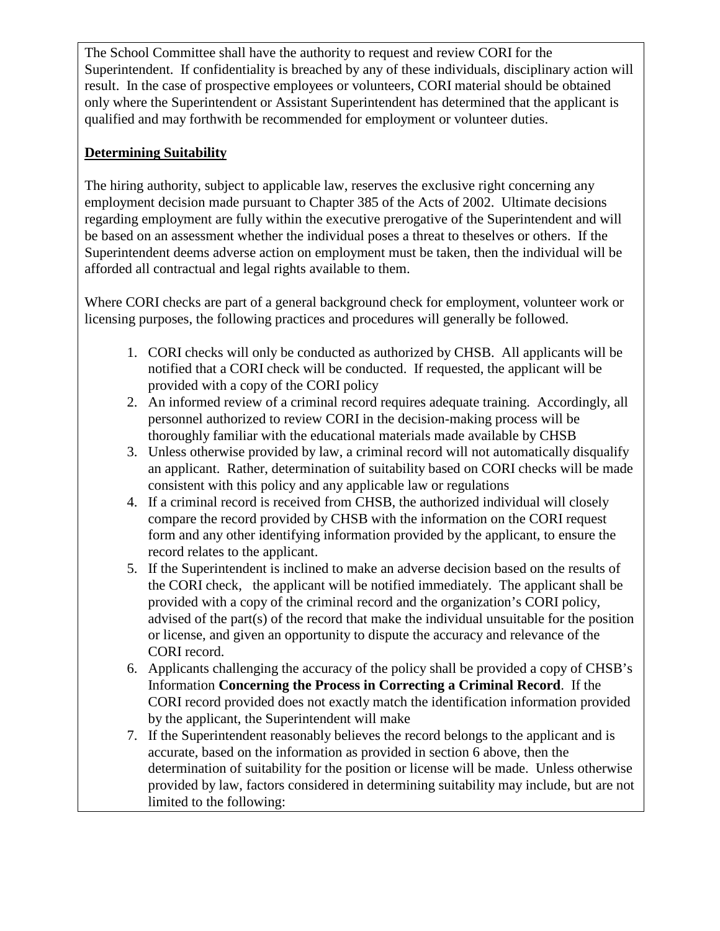The School Committee shall have the authority to request and review CORI for the Superintendent. If confidentiality is breached by any of these individuals, disciplinary action will result. In the case of prospective employees or volunteers, CORI material should be obtained only where the Superintendent or Assistant Superintendent has determined that the applicant is qualified and may forthwith be recommended for employment or volunteer duties.

## **Determining Suitability**

The hiring authority, subject to applicable law, reserves the exclusive right concerning any employment decision made pursuant to Chapter 385 of the Acts of 2002. Ultimate decisions regarding employment are fully within the executive prerogative of the Superintendent and will be based on an assessment whether the individual poses a threat to theselves or others. If the Superintendent deems adverse action on employment must be taken, then the individual will be afforded all contractual and legal rights available to them.

Where CORI checks are part of a general background check for employment, volunteer work or licensing purposes, the following practices and procedures will generally be followed.

- 1. CORI checks will only be conducted as authorized by CHSB. All applicants will be notified that a CORI check will be conducted. If requested, the applicant will be provided with a copy of the CORI policy
- 2. An informed review of a criminal record requires adequate training. Accordingly, all personnel authorized to review CORI in the decision-making process will be thoroughly familiar with the educational materials made available by CHSB
- 3. Unless otherwise provided by law, a criminal record will not automatically disqualify an applicant. Rather, determination of suitability based on CORI checks will be made consistent with this policy and any applicable law or regulations
- 4. If a criminal record is received from CHSB, the authorized individual will closely compare the record provided by CHSB with the information on the CORI request form and any other identifying information provided by the applicant, to ensure the record relates to the applicant.
- 5. If the Superintendent is inclined to make an adverse decision based on the results of the CORI check, the applicant will be notified immediately. The applicant shall be provided with a copy of the criminal record and the organization's CORI policy, advised of the part(s) of the record that make the individual unsuitable for the position or license, and given an opportunity to dispute the accuracy and relevance of the CORI record.
- 6. Applicants challenging the accuracy of the policy shall be provided a copy of CHSB's Information **Concerning the Process in Correcting a Criminal Record**. If the CORI record provided does not exactly match the identification information provided by the applicant, the Superintendent will make
- 7. If the Superintendent reasonably believes the record belongs to the applicant and is accurate, based on the information as provided in section 6 above, then the determination of suitability for the position or license will be made. Unless otherwise provided by law, factors considered in determining suitability may include, but are not limited to the following: